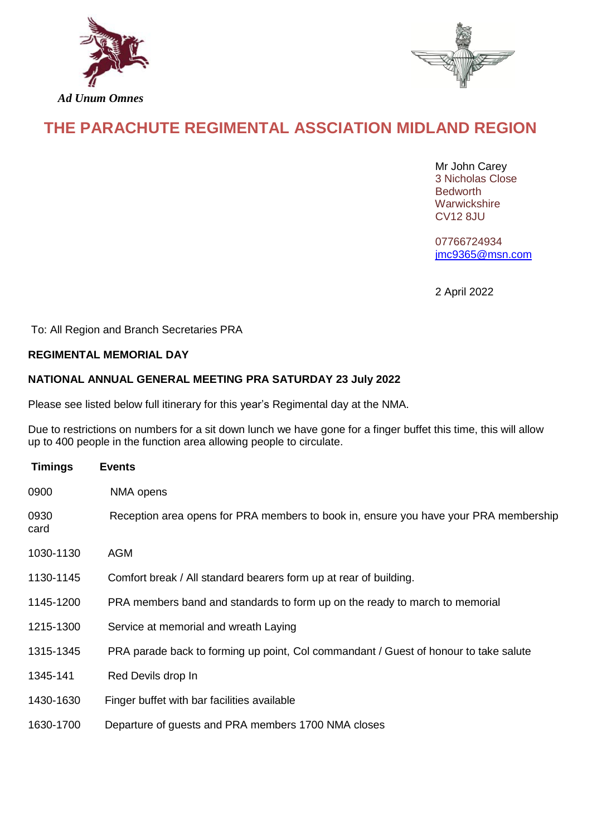



# **THE PARACHUTE REGIMENTAL ASSCIATION MIDLAND REGION**

 Mr John Carey 3 Nicholas Close Bedworth the contract of the contract of the contract of the Bedworth Bedworth Warwickshire<br>CV12 8JU CV12 8JU

> 07766724934 [jmc9365@msn.com](mailto:jmc9365@msn.com)

2 April 2022

To: All Region and Branch Secretaries PRA

# **REGIMENTAL MEMORIAL DAY**

# **NATIONAL ANNUAL GENERAL MEETING PRA SATURDAY 23 July 2022**

Please see listed below full itinerary for this year's Regimental day at the NMA.

Due to restrictions on numbers for a sit down lunch we have gone for a finger buffet this time, this will allow up to 400 people in the function area allowing people to circulate.

| <b>Timings</b> | <b>Events</b>                                                                        |
|----------------|--------------------------------------------------------------------------------------|
| 0900           | NMA opens                                                                            |
| 0930<br>card   | Reception area opens for PRA members to book in, ensure you have your PRA membership |
| 1030-1130      | <b>AGM</b>                                                                           |
| 1130-1145      | Comfort break / All standard bearers form up at rear of building.                    |
| 1145-1200      | PRA members band and standards to form up on the ready to march to memorial          |
| 1215-1300      | Service at memorial and wreath Laying                                                |
| 1315-1345      | PRA parade back to forming up point, Col commandant / Guest of honour to take salute |
| 1345-141       | Red Devils drop In                                                                   |
| 1430-1630      | Finger buffet with bar facilities available                                          |
| 1630-1700      | Departure of guests and PRA members 1700 NMA closes                                  |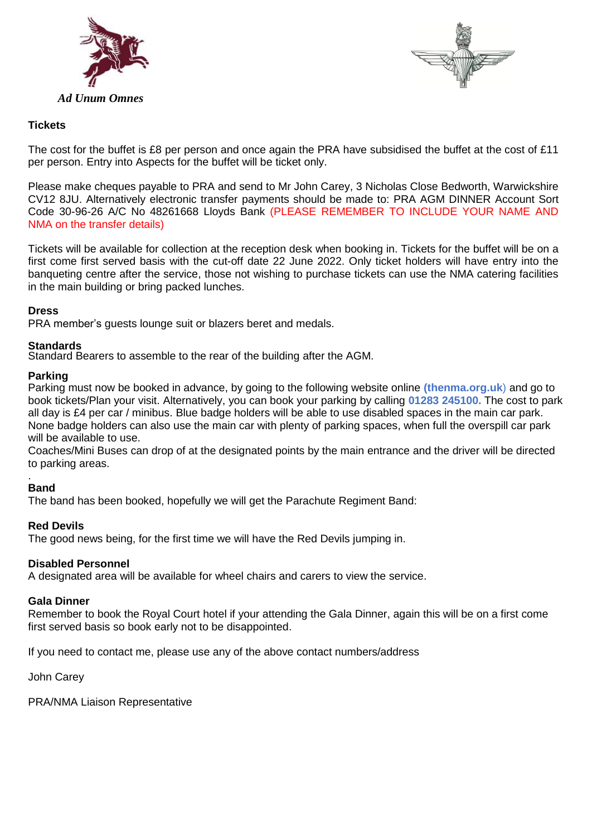



# **Tickets**

The cost for the buffet is £8 per person and once again the PRA have subsidised the buffet at the cost of £11 per person. Entry into Aspects for the buffet will be ticket only.

Please make cheques payable to PRA and send to Mr John Carey, 3 Nicholas Close Bedworth, Warwickshire CV12 8JU. Alternatively electronic transfer payments should be made to: PRA AGM DINNER Account Sort Code 30-96-26 A/C No 48261668 Lloyds Bank (PLEASE REMEMBER TO INCLUDE YOUR NAME AND NMA on the transfer details)

Tickets will be available for collection at the reception desk when booking in. Tickets for the buffet will be on a first come first served basis with the cut-off date 22 June 2022. Only ticket holders will have entry into the banqueting centre after the service, those not wishing to purchase tickets can use the NMA catering facilities in the main building or bring packed lunches.

## **Dress**

PRA member's guests lounge suit or blazers beret and medals.

## **Standards**

Standard Bearers to assemble to the rear of the building after the AGM.

## **Parking**

Parking must now be booked in advance, by going to the following website online **(thenma.org.uk**) and go to book tickets/Plan your visit. Alternatively, you can book your parking by calling **01283 245100.** The cost to park all day is £4 per car / minibus. Blue badge holders will be able to use disabled spaces in the main car park. None badge holders can also use the main car with plenty of parking spaces, when full the overspill car park will be available to use.

Coaches/Mini Buses can drop of at the designated points by the main entrance and the driver will be directed to parking areas.

#### . **Band**

The band has been booked, hopefully we will get the Parachute Regiment Band:

## **Red Devils**

The good news being, for the first time we will have the Red Devils jumping in.

## **Disabled Personnel**

A designated area will be available for wheel chairs and carers to view the service.

#### **Gala Dinner**

Remember to book the Royal Court hotel if your attending the Gala Dinner, again this will be on a first come first served basis so book early not to be disappointed.

If you need to contact me, please use any of the above contact numbers/address

John Carey

PRA/NMA Liaison Representative